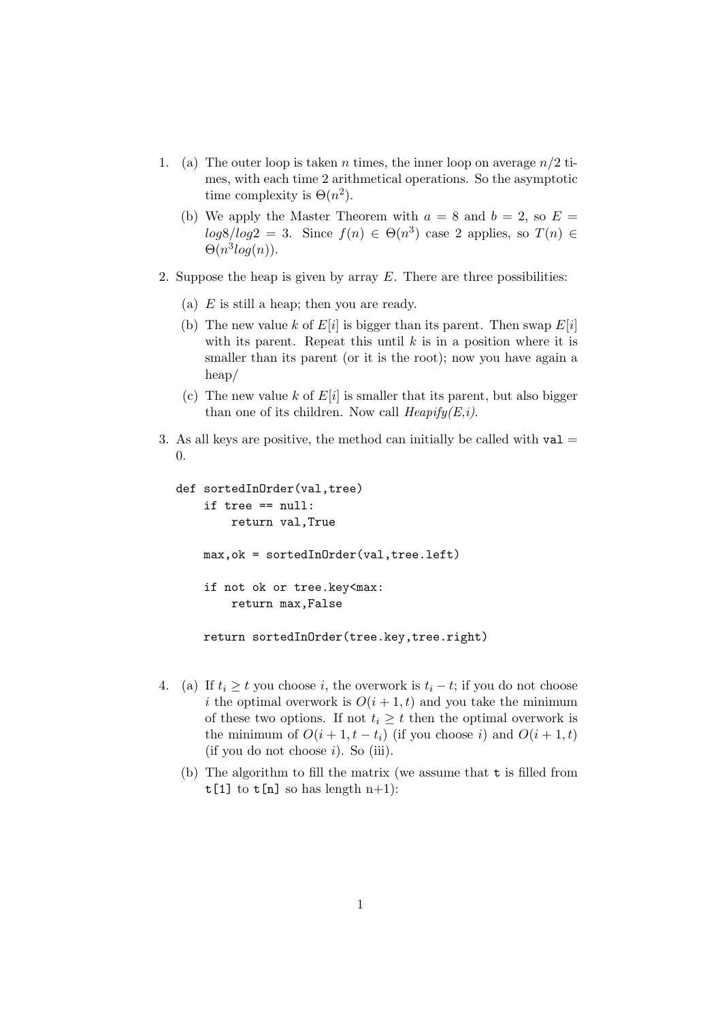- 1. (a) The outer loop is taken n times, the inner loop on average  $n/2$  times, with each time 2 arithmetical operations. So the asymptotic time complexity is  $\Theta(n^2)$ .
	- (b) We apply the Master Theorem with  $a = 8$  and  $b = 2$ , so  $E =$  $log8/log2 = 3$ . Since  $f(n) \in \Theta(n^3)$  case 2 applies, so  $T(n) \in$  $\Theta(n^3 log(n)).$
- 2. Suppose the heap is given by array  $E$ . There are three possibilities:
	- (a)  $E$  is still a heap; then you are ready.
	- (b) The new value k of  $E[i]$  is bigger than its parent. Then swap  $E[i]$ with its parent. Repeat this until  $k$  is in a position where it is smaller than its parent (or it is the root); now you have again a heap/
	- (c) The new value k of  $E[i]$  is smaller that its parent, but also bigger than one of its children. Now call  $Heapify(E,i)$ .
- 3. As all keys are positive, the method can initially be called with  $val =$ 0.

```
def sortedInOrder(val,tree)
 if tree == null:
     return val,True
max,ok = sortedInOrder(val,tree.left)
 if not ok or tree.key<max:
     return max,False
return sortedInOrder(tree.key,tree.right)
```
- 4. (a) If  $t_i \geq t$  you choose i, the overwork is  $t_i t$ ; if you do not choose i the optimal overwork is  $O(i + 1, t)$  and you take the minimum of these two options. If not  $t_i \geq t$  then the optimal overwork is the minimum of  $O(i + 1, t - t_i)$  (if you choose i) and  $O(i + 1, t)$  $(i)$  you do not choose  $i)$ . So  $(iii)$ .
	- (b) The algorithm to fill the matrix (we assume that t is filled from  $t[1]$  to  $t[n]$  so has length  $n+1$ :